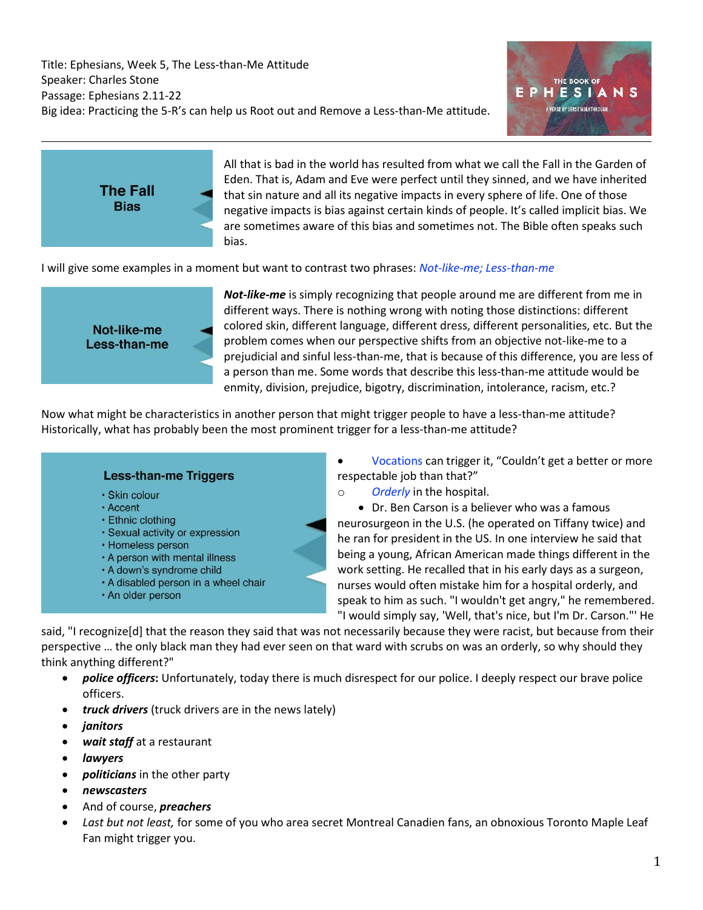



All that is bad in the world has resulted from what we call the Fall in the Garden of Eden. That is, Adam and Eve were perfect until they sinned, and we have inherited that sin nature and all its negative impacts in every sphere of life. One of those negative impacts is bias against certain kinds of people. It's called implicit bias. We are sometimes aware of this bias and sometimes not. The Bible often speaks such bias.

I will give some examples in a moment but want to contrast two phrases: *Not-like-me; Less-than-me*



*Not-like-me* is simply recognizing that people around me are different from me in different ways. There is nothing wrong with noting those distinctions: different colored skin, different language, different dress, different personalities, etc. But the problem comes when our perspective shifts from an objective not-like-me to a prejudicial and sinful less-than-me, that is because of this difference, you are less of a person than me. Some words that describe this less-than-me attitude would be enmity, division, prejudice, bigotry, discrimination, intolerance, racism, etc.?

Now what might be characteristics in another person that might trigger people to have a less-than-me attitude? Historically, what has probably been the most prominent trigger for a less-than-me attitude?

## **Less-than-me Triggers** · Skin colour • Accent • Ethnic clothing · Sexual activity or expression • Homeless person . A person with mental illness . A down's syndrome child • A disabled person in a wheel chair · An older person

Vocations can trigger it, "Couldn't get a better or more respectable job than that?"

o *Orderly* in the hospital.

• Dr. Ben Carson is a believer who was a famous neurosurgeon in the U.S. (he operated on Tiffany twice) and he ran for president in the US. In one interview he said that being a young, African American made things different in the work setting. He recalled that in his early days as a surgeon, nurses would often mistake him for a hospital orderly, and speak to him as such. "I wouldn't get angry," he remembered. "I would simply say, 'Well, that's nice, but I'm Dr. Carson."' He

said, "I recognize[d] that the reason they said that was not necessarily because they were racist, but because from their perspective … the only black man they had ever seen on that ward with scrubs on was an orderly, so why should they think anything different?"

- *police officers***:** Unfortunately, today there is much disrespect for our police. I deeply respect our brave police officers.
- *truck drivers* (truck drivers are in the news lately)
- *janitors*
- *wait staff* at a restaurant
- *lawyers*
- *politicians* in the other party
- *newscasters*
- And of course, *preachers*
- *Last but not least,* for some of you who area secret Montreal Canadien fans, an obnoxious Toronto Maple Leaf Fan might trigger you.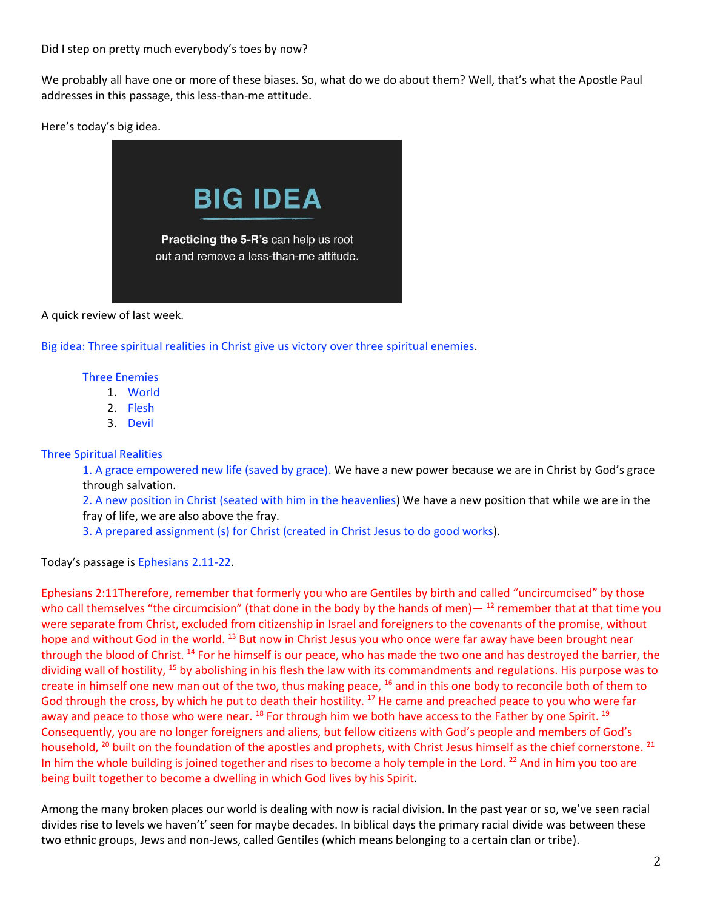We probably all have one or more of these biases. So, what do we do about them? Well, that's what the Apostle Paul addresses in this passage, this less-than-me attitude.

Here's today's big idea.



A quick review of last week.

Big idea: Three spiritual realities in Christ give us victory over three spiritual enemies.

Three Enemies

- 1. World
- 2. Flesh
- 3. Devil

#### Three Spiritual Realities

1. A grace empowered new life (saved by grace). We have a new power because we are in Christ by God's grace through salvation.

2. A new position in Christ (seated with him in the heavenlies) We have a new position that while we are in the fray of life, we are also above the fray.

3. A prepared assignment (s) for Christ (created in Christ Jesus to do good works).

Today's passage is Ephesians 2.11-22.

Ephesians 2:11Therefore, remember that formerly you who are Gentiles by birth and called "uncircumcised" by those who call themselves "the circumcision" (that done in the body by the hands of men)— $^{12}$  remember that at that time you were separate from Christ, excluded from citizenship in Israel and foreigners to the covenants of the promise, without hope and without God in the world. <sup>13</sup> But now in Christ Jesus you who once were far away have been brought near through the blood of Christ.<sup>14</sup> For he himself is our peace, who has made the two one and has destroyed the barrier, the dividing wall of hostility, <sup>15</sup> by abolishing in his flesh the law with its commandments and regulations. His purpose was to create in himself one new man out of the two, thus making peace, <sup>16</sup> and in this one body to reconcile both of them to God through the cross, by which he put to death their hostility. <sup>17</sup> He came and preached peace to you who were far away and peace to those who were near. <sup>18</sup> For through him we both have access to the Father by one Spirit. <sup>19</sup> Consequently, you are no longer foreigners and aliens, but fellow citizens with God's people and members of God's household,  $^{20}$  built on the foundation of the apostles and prophets, with Christ Jesus himself as the chief cornerstone.  $^{21}$ In him the whole building is joined together and rises to become a holy temple in the Lord. <sup>22</sup> And in him you too are being built together to become a dwelling in which God lives by his Spirit.

Among the many broken places our world is dealing with now is racial division. In the past year or so, we've seen racial divides rise to levels we haven't' seen for maybe decades. In biblical days the primary racial divide was between these two ethnic groups, Jews and non-Jews, called Gentiles (which means belonging to a certain clan or tribe).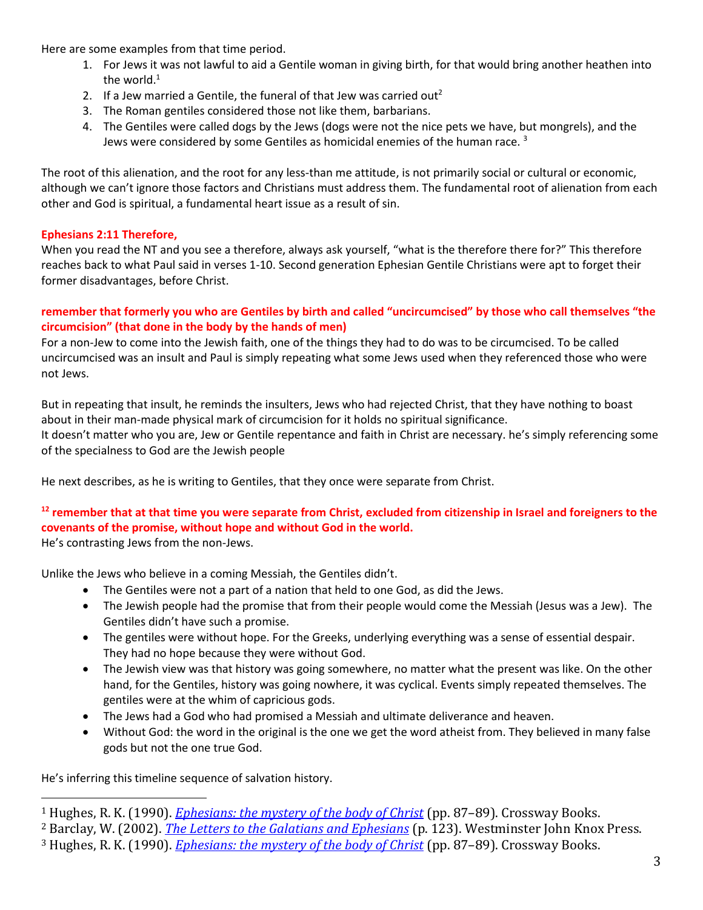Here are some examples from that time period.

- 1. For Jews it was not lawful to aid a Gentile woman in giving birth, for that would bring another heathen into the world. $1$
- 2. If a Jew married a Gentile, the funeral of that Jew was carried out<sup>2</sup>
- 3. The Roman gentiles considered those not like them, barbarians.
- 4. The Gentiles were called dogs by the Jews (dogs were not the nice pets we have, but mongrels), and the Jews were considered by some Gentiles as homicidal enemies of the human race.  $3$

The root of this alienation, and the root for any less-than me attitude, is not primarily social or cultural or economic, although we can't ignore those factors and Christians must address them. The fundamental root of alienation from each other and God is spiritual, a fundamental heart issue as a result of sin.

#### **Ephesians 2:11 Therefore,**

When you read the NT and you see a therefore, always ask yourself, "what is the therefore there for?" This therefore reaches back to what Paul said in verses 1-10. Second generation Ephesian Gentile Christians were apt to forget their former disadvantages, before Christ.

#### **remember that formerly you who are Gentiles by birth and called "uncircumcised" by those who call themselves "the circumcision" (that done in the body by the hands of men)**

For a non-Jew to come into the Jewish faith, one of the things they had to do was to be circumcised. To be called uncircumcised was an insult and Paul is simply repeating what some Jews used when they referenced those who were not Jews.

But in repeating that insult, he reminds the insulters, Jews who had rejected Christ, that they have nothing to boast about in their man-made physical mark of circumcision for it holds no spiritual significance. It doesn't matter who you are, Jew or Gentile repentance and faith in Christ are necessary. he's simply referencing some of the specialness to God are the Jewish people

He next describes, as he is writing to Gentiles, that they once were separate from Christ.

### **<sup>12</sup> remember that at that time you were separate from Christ, excluded from citizenship in Israel and foreigners to the covenants of the promise, without hope and without God in the world.**

He's contrasting Jews from the non-Jews.

Unlike the Jews who believe in a coming Messiah, the Gentiles didn't.

- The Gentiles were not a part of a nation that held to one God, as did the Jews.
- The Jewish people had the promise that from their people would come the Messiah (Jesus was a Jew). The Gentiles didn't have such a promise.
- The gentiles were without hope. For the Greeks, underlying everything was a sense of essential despair. They had no hope because they were without God.
- The Jewish view was that history was going somewhere, no matter what the present was like. On the other hand, for the Gentiles, history was going nowhere, it was cyclical. Events simply repeated themselves. The gentiles were at the whim of capricious gods.
- The Jews had a God who had promised a Messiah and ultimate deliverance and heaven.
- Without God: the word in the original is the one we get the word atheist from. They believed in many false gods but not the one true God.

He's inferring this timeline sequence of salvation history.

<sup>1</sup> Hughes, R. K. (1990). *[Ephesians: the mystery of the body of Christ](https://ref.ly/logosres/prwdeph?ref=Bible.Eph2.11&off=478&ctx=+the+Gentiles+kill.%E2%80%9D~+It+was+not+lawful+t)* (pp. 87–89). Crossway Books.

<sup>2</sup> Barclay, W. (2002). *[The Letters to the Galatians and Ephesians](https://ref.ly/logosres/ndsb69gal?ref=Bible.Eph2.11-12&off=1416&ctx=tiles+was+absolute.+~If+a+Jew+married+a+G)* (p. 123). Westminster John Knox Press.

<sup>3</sup> Hughes, R. K. (1990). *[Ephesians: the mystery of the body of Christ](https://ref.ly/logosres/prwdeph?ref=Bible.Eph2.11&off=1052&ctx=ess+was+monumental.+~The+Gentiles+were+do)* (pp. 87–89). Crossway Books.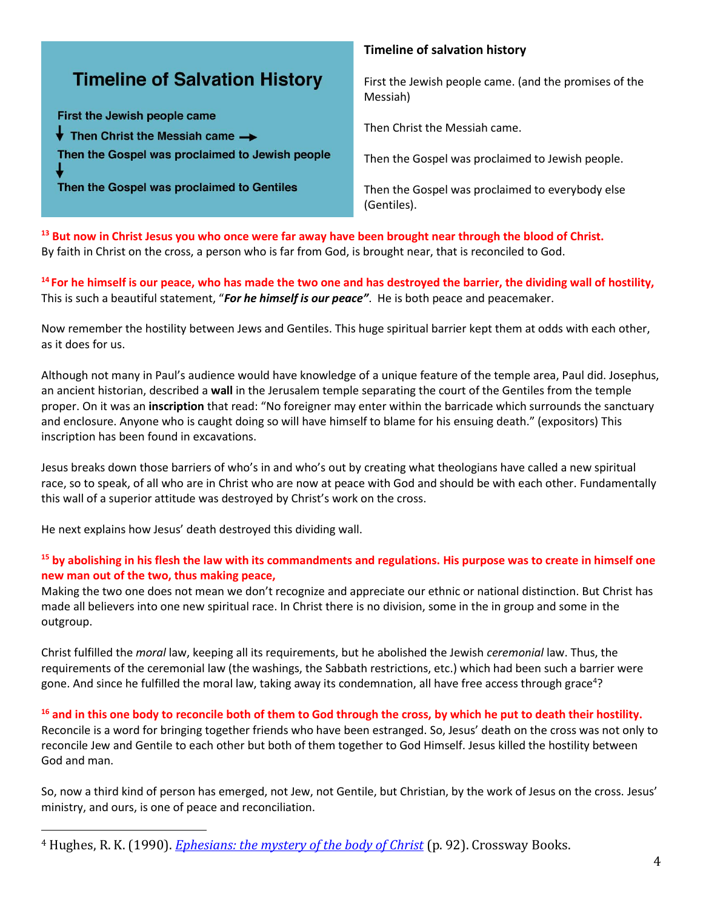## **Timeline of Salvation History**

First the Jewish people came  $\overline{\bullet}$  Then Christ the Messiah came  $\rightarrow$ Then the Gospel was proclaimed to Jewish people

Then the Gospel was proclaimed to Gentiles

#### **Timeline of salvation history**

First the Jewish people came. (and the promises of the Messiah)

Then Christ the Messiah came.

Then the Gospel was proclaimed to Jewish people.

Then the Gospel was proclaimed to everybody else (Gentiles).

**<sup>13</sup> But now in Christ Jesus you who once were far away have been brought near through the blood of Christ.** By faith in Christ on the cross, a person who is far from God, is brought near, that is reconciled to God.

**<sup>14</sup>For he himself is our peace, who has made the two one and has destroyed the barrier, the dividing wall of hostility,**  This is such a beautiful statement, "*For he himself is our peace"*. He is both peace and peacemaker.

Now remember the hostility between Jews and Gentiles. This huge spiritual barrier kept them at odds with each other, as it does for us.

Although not many in Paul's audience would have knowledge of a unique feature of the temple area, Paul did. Josephus, an ancient historian, described a **wall** in the Jerusalem temple separating the court of the Gentiles from the temple proper. On it was an **inscription** that read: "No foreigner may enter within the barricade which surrounds the sanctuary and enclosure. Anyone who is caught doing so will have himself to blame for his ensuing death." (expositors) This inscription has been found in excavations.

Jesus breaks down those barriers of who's in and who's out by creating what theologians have called a new spiritual race, so to speak, of all who are in Christ who are now at peace with God and should be with each other. Fundamentally this wall of a superior attitude was destroyed by Christ's work on the cross.

He next explains how Jesus' death destroyed this dividing wall.

#### **<sup>15</sup> by abolishing in his flesh the law with its commandments and regulations. His purpose was to create in himself one new man out of the two, thus making peace,**

Making the two one does not mean we don't recognize and appreciate our ethnic or national distinction. But Christ has made all believers into one new spiritual race. In Christ there is no division, some in the in group and some in the outgroup.

Christ fulfilled the *moral* law, keeping all its requirements, but he abolished the Jewish *ceremonial* law. Thus, the requirements of the ceremonial law (the washings, the Sabbath restrictions, etc.) which had been such a barrier were gone. And since he fulfilled the moral law, taking away its condemnation, all have free access through grace<sup>4</sup>?

#### **<sup>16</sup> and in this one body to reconcile both of them to God through the cross, by which he put to death their hostility.**

Reconcile is a word for bringing together friends who have been estranged. So, Jesus' death on the cross was not only to reconcile Jew and Gentile to each other but both of them together to God Himself. Jesus killed the hostility between God and man.

So, now a third kind of person has emerged, not Jew, not Gentile, but Christian, by the work of Jesus on the cross. Jesus' ministry, and ours, is one of peace and reconciliation.

<sup>4</sup> Hughes, R. K. (1990). *[Ephesians: the mystery of the body of Christ](https://ref.ly/logosres/prwdeph?ref=Bible.Eph2.13&off=2623&ctx=em%E2%80%9D+(Matthew+5:17)%3f+~Christ+fulfilled+the)* (p. 92). Crossway Books.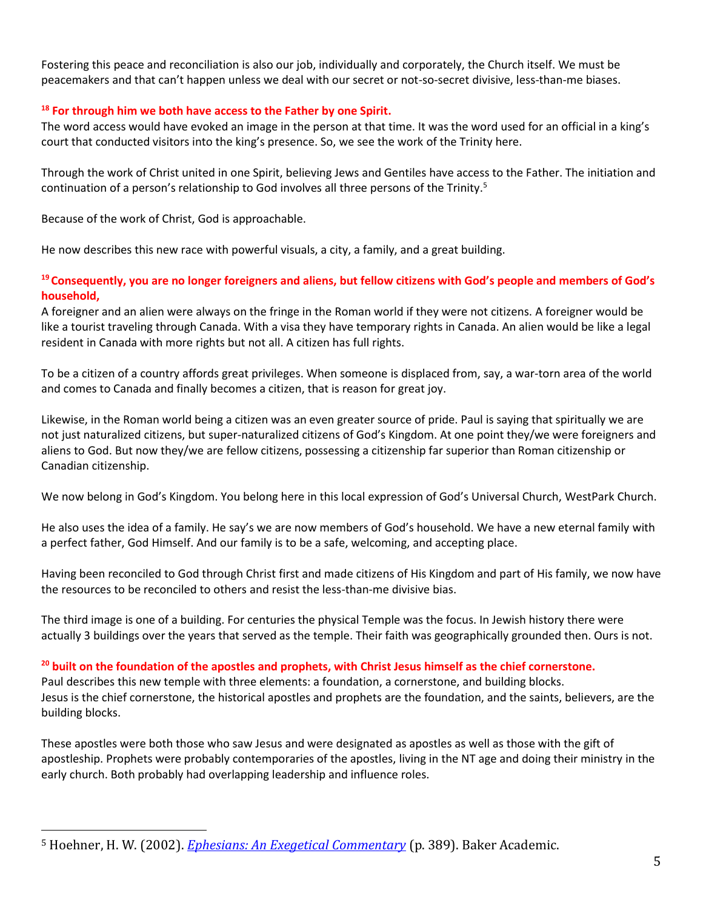Fostering this peace and reconciliation is also our job, individually and corporately, the Church itself. We must be peacemakers and that can't happen unless we deal with our secret or not-so-secret divisive, less-than-me biases.

#### **<sup>18</sup> For through him we both have access to the Father by one Spirit.**

The word access would have evoked an image in the person at that time. It was the word used for an official in a king's court that conducted visitors into the king's presence. So, we see the work of the Trinity here.

Through the work of Christ united in one Spirit, believing Jews and Gentiles have access to the Father. The initiation and continuation of a person's relationship to God involves all three persons of the Trinity.<sup>5</sup>

Because of the work of Christ, God is approachable.

He now describes this new race with powerful visuals, a city, a family, and a great building.

#### **<sup>19</sup>Consequently, you are no longer foreigners and aliens, but fellow citizens with God's people and members of God's household,**

A foreigner and an alien were always on the fringe in the Roman world if they were not citizens. A foreigner would be like a tourist traveling through Canada. With a visa they have temporary rights in Canada. An alien would be like a legal resident in Canada with more rights but not all. A citizen has full rights.

To be a citizen of a country affords great privileges. When someone is displaced from, say, a war-torn area of the world and comes to Canada and finally becomes a citizen, that is reason for great joy.

Likewise, in the Roman world being a citizen was an even greater source of pride. Paul is saying that spiritually we are not just naturalized citizens, but super-naturalized citizens of God's Kingdom. At one point they/we were foreigners and aliens to God. But now they/we are fellow citizens, possessing a citizenship far superior than Roman citizenship or Canadian citizenship.

We now belong in God's Kingdom. You belong here in this local expression of God's Universal Church, WestPark Church.

He also uses the idea of a family. He say's we are now members of God's household. We have a new eternal family with a perfect father, God Himself. And our family is to be a safe, welcoming, and accepting place.

Having been reconciled to God through Christ first and made citizens of His Kingdom and part of His family, we now have the resources to be reconciled to others and resist the less-than-me divisive bias.

The third image is one of a building. For centuries the physical Temple was the focus. In Jewish history there were actually 3 buildings over the years that served as the temple. Their faith was geographically grounded then. Ours is not.

#### **<sup>20</sup> built on the foundation of the apostles and prophets, with Christ Jesus himself as the chief cornerstone.**

Paul describes this new temple with three elements: a foundation, a cornerstone, and building blocks. Jesus is the chief cornerstone, the historical apostles and prophets are the foundation, and the saints, believers, are the building blocks.

These apostles were both those who saw Jesus and were designated as apostles as well as those with the gift of apostleship. Prophets were probably contemporaries of the apostles, living in the NT age and doing their ministry in the early church. Both probably had overlapping leadership and influence roles.

<sup>5</sup> Hoehner, H. W. (2002). *[Ephesians: An Exegetical Commentary](https://ref.ly/logosres/phsnsnxgtclcmm?ref=Bible.Eph2.18&off=4229&ctx=ers%E2%80%99+access+to+God.+~Through+the+work+of+)* (p. 389). Baker Academic.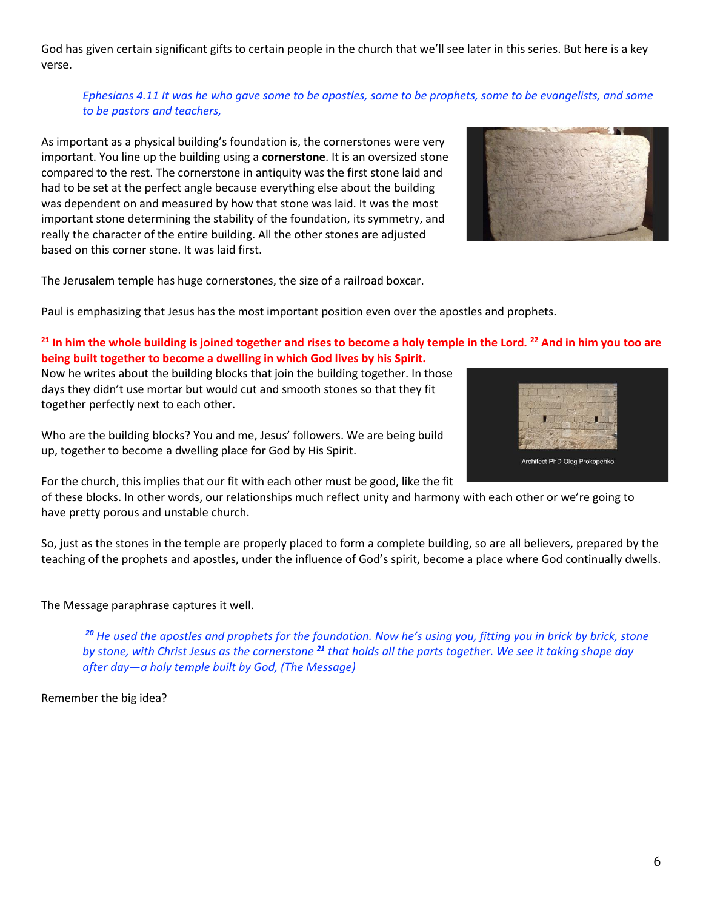God has given certain significant gifts to certain people in the church that we'll see later in this series. But here is a key verse.

#### *Ephesians 4.11 It was he who gave some to be apostles, some to be prophets, some to be evangelists, and some to be pastors and teachers,*

As important as a physical building's foundation is, the cornerstones were very important. You line up the building using a **cornerstone**. It is an oversized stone compared to the rest. The cornerstone in antiquity was the first stone laid and had to be set at the perfect angle because everything else about the building was dependent on and measured by how that stone was laid. It was the most important stone determining the stability of the foundation, its symmetry, and really the character of the entire building. All the other stones are adjusted based on this corner stone. It was laid first.



The Jerusalem temple has huge cornerstones, the size of a railroad boxcar.

Paul is emphasizing that Jesus has the most important position even over the apostles and prophets.

#### **<sup>21</sup> In him the whole building is joined together and rises to become a holy temple in the Lord. <sup>22</sup> And in him you too are being built together to become a dwelling in which God lives by his Spirit.**

Now he writes about the building blocks that join the building together. In those days they didn't use mortar but would cut and smooth stones so that they fit together perfectly next to each other.

Who are the building blocks? You and me, Jesus' followers. We are being build up, together to become a dwelling place for God by His Spirit.

For the church, this implies that our fit with each other must be good, like the fit

of these blocks. In other words, our relationships much reflect unity and harmony with each other or we're going to have pretty porous and unstable church.

So, just as the stones in the temple are properly placed to form a complete building, so are all believers, prepared by the teaching of the prophets and apostles, under the influence of God's spirit, become a place where God continually dwells.

#### The Message paraphrase captures it well.

*<sup>20</sup> He used the apostles and prophets for the foundation. Now he's using you, fitting you in brick by brick, stone by stone, with Christ Jesus as the cornerstone <sup>21</sup> that holds all the parts together. We see it taking shape day after day—a holy temple built by God, (The Message)*

Remember the big idea?